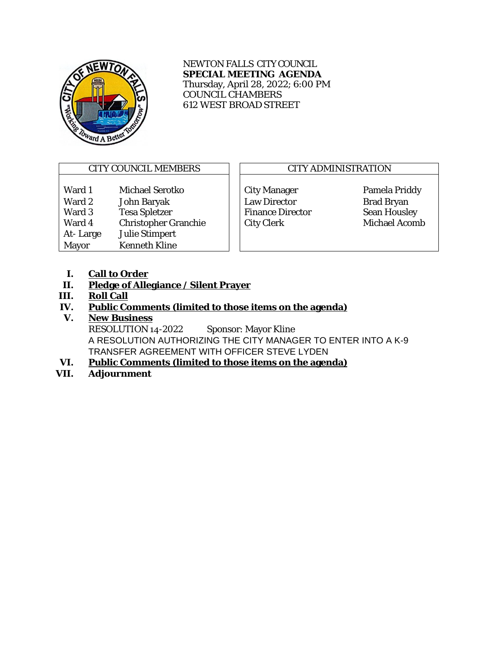

NEWTON FALLS CITY COUNCIL **SPECIAL MEETING AGENDA** Thursday, April 28, 2022; 6:00 PM COUNCIL CHAMBERS 612 WEST BROAD STREET

# CITY COUNCIL MEMBERS  $\Box$  CITY ADMINISTRATION

Ward 1 Michael Serotko | City Manager Pamela Priddy Ward 2 John Baryak Law Director Brad Bryan<br>
Ward 3 Tesa Spletzer Finance Director Sean Housley Ward 4 Christopher Granchie | City Clerk Michael Acomb At- Large Julie Stimpert Mayor Kenneth Kline

Finance Director

- **I. Call to Order**
- **II. Pledge of Allegiance / Silent Prayer**
- **III. Roll Call**
- **IV. Public Comments (limited to those items on the agenda)**

## **V. New Business**

RESOLUTION 14-2022 Sponsor: Mayor Kline A RESOLUTION AUTHORIZING THE CITY MANAGER TO ENTER INTO A K-9 TRANSFER AGREEMENT WITH OFFICER STEVE LYDEN

- **VI. Public Comments (limited to those items on the agenda)**
- **VII. Adjournment**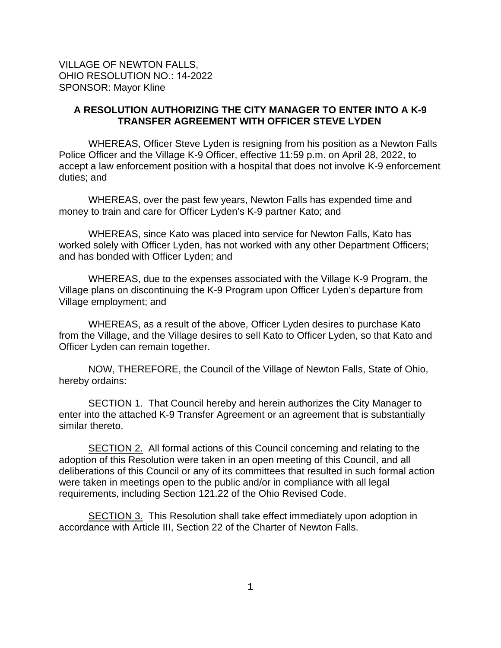### **A RESOLUTION AUTHORIZING THE CITY MANAGER TO ENTER INTO A K-9 TRANSFER AGREEMENT WITH OFFICER STEVE LYDEN**

WHEREAS, Officer Steve Lyden is resigning from his position as a Newton Falls Police Officer and the Village K-9 Officer, effective 11:59 p.m. on April 28, 2022, to accept a law enforcement position with a hospital that does not involve K-9 enforcement duties; and

WHEREAS, over the past few years, Newton Falls has expended time and money to train and care for Officer Lyden's K-9 partner Kato; and

WHEREAS, since Kato was placed into service for Newton Falls, Kato has worked solely with Officer Lyden, has not worked with any other Department Officers; and has bonded with Officer Lyden; and

WHEREAS, due to the expenses associated with the Village K-9 Program, the Village plans on discontinuing the K-9 Program upon Officer Lyden's departure from Village employment; and

WHEREAS, as a result of the above, Officer Lyden desires to purchase Kato from the Village, and the Village desires to sell Kato to Officer Lyden, so that Kato and Officer Lyden can remain together.

NOW, THEREFORE, the Council of the Village of Newton Falls, State of Ohio, hereby ordains:

SECTION 1. That Council hereby and herein authorizes the City Manager to enter into the attached K-9 Transfer Agreement or an agreement that is substantially similar thereto.

SECTION 2. All formal actions of this Council concerning and relating to the adoption of this Resolution were taken in an open meeting of this Council, and all deliberations of this Council or any of its committees that resulted in such formal action were taken in meetings open to the public and/or in compliance with all legal requirements, including Section 121.22 of the Ohio Revised Code.

SECTION 3. This Resolution shall take effect immediately upon adoption in accordance with Article III, Section 22 of the Charter of Newton Falls.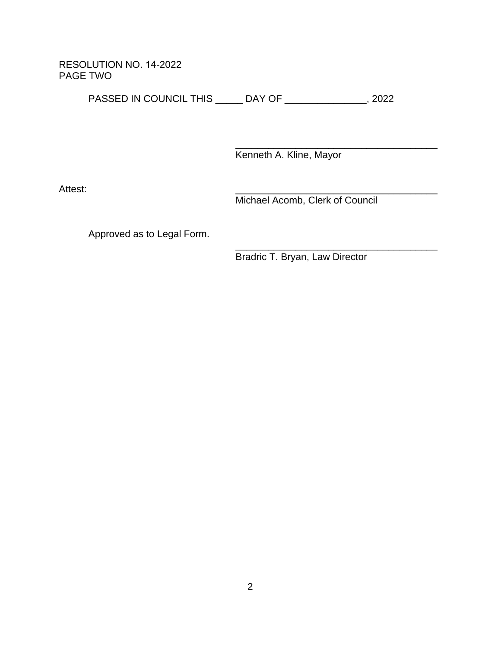RESOLUTION NO. 14-2022 PAGE TWO

PASSED IN COUNCIL THIS \_\_\_\_\_ DAY OF \_\_\_\_\_\_\_\_\_\_\_\_\_\_\_, 2022

\_\_\_\_\_\_\_\_\_\_\_\_\_\_\_\_\_\_\_\_\_\_\_\_\_\_\_\_\_\_\_\_\_\_\_\_\_ Kenneth A. Kline, Mayor

Attest: \_\_\_\_\_\_\_\_\_\_\_\_\_\_\_\_\_\_\_\_\_\_\_\_\_\_\_\_\_\_\_\_\_\_\_\_\_

Michael Acomb, Clerk of Council

Approved as to Legal Form.

\_\_\_\_\_\_\_\_\_\_\_\_\_\_\_\_\_\_\_\_\_\_\_\_\_\_\_\_\_\_\_\_\_\_\_\_\_ Bradric T. Bryan, Law Director